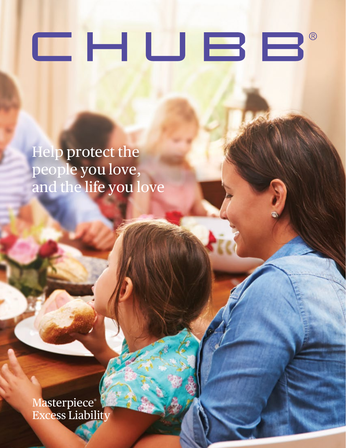# CHUBB  $\circledR$

Help protect the people you love, and the life you love

Masterpiece® Excess Liability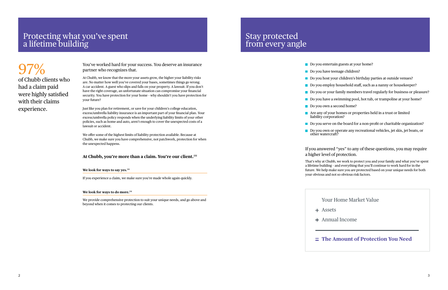You've worked hard for your success. You deserve an insurance partner who recognizes that.

At Chubb, we know that the more your assets grow, the higher your liability risks are. No matter how well you've covered your bases, sometimes things go wrong. A car accident. A guest who slips and falls on your property. A lawsuit. If you don't have the right coverage, an unfortunate situation can compromise your financial security. You have protection for your home – why shouldn't you have protection for your future?

Just like you plan for retirement, or save for your children's college education, excess/umbrella liability insurance is an important part of your financial plan. Your excess/umbrella policy responds when the underlying liability limits of your other policies, such as home and auto, aren't enough to cover the unexpected costs of a lawsuit or accident.

We offer some of the highest limits of liability protection available. Because at Chubb, we make sure you have comprehensive, not patchwork, protection for when the unexpected happens.

#### **At Chubb, you're more than a claim. You're our client.**SM

We look for ways to say yes.<sup>SM</sup>

If you experience a claim, we make sure you're made whole again quickly.

- 
- Do you host your children's birthday parties at outside venues?
- Do you employ household staff, such as a nanny or housekeeper?
- Do you or your family members travel regularly for business or pleasure?
- Do you have a swimming pool, hot tub, or trampoline at your home?
- Do you own a second home?
- Are any of your homes or properties held in a trust or limited liability corporation?
- Do you serve on the board for a non-profit or charitable organization?
- other watercraft?

**We look for ways to do more.**SM

We provide comprehensive protection to suit your unique needs, and go above and beyond when it comes to protecting our clients.

#### If you answered "yes" to any of these questions, you may require a higher level of protection.

That's why at Chubb, we work to protect you and your family and what you've spent a lifetime building – and everything that you'll continue to work hard for in the future. We help make sure you are protected based on your unique needs for both your obvious and not so obvious risk factors.

97% of Chubb clients who had a claim paid were highly satisfied with their claims experience.

### Protecting what you've spent a lifetime building

### Stay protected from every angle

#### Your Home Market Value

- Assets
- 

- Do you entertain guests at your home?
- Do you have teenage children?

Do you own or operate any recreational vehicles, jet skis, jet boats, or

Annual Income

#### **The Amount of Protection You Need**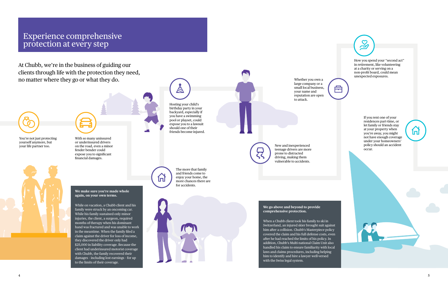

#### Experience comprehensive protection at every step

At Chubb, we're in the business of guiding our clients through life with the protection they need, no matter where they go or what they do.

> **We go above and beyond to provide comprehensive protection.**

When a Chubb client took his family to ski in Switzerland, an injured skier brought suit against him after a collision. Chubb's Masterpiece policy covered the claim and his full defense costs, even after he had reached the limits of his policy. In addition, Chubb's Multi-national Claim Unit also handled his claim to ensure familiarity with local laws and claims procedures, including helping him to identify and hire a lawyer well-versed with the Swiss legal system.

**We make sure you're made whole again, on your own terms.**

While on vacation, a Chubb client and his family were struck by an oncoming car. While his family sustained only minor injuries, the client, a surgeon, required months of therapy when his dominant hand was fractured and was unable to work in the meantime. When the family filed a claim against the driver for loss of income, they discovered the driver only had \$25,000 in liability coverage. Because the client had underinsured motorist coverage with Chubb, the family recovered their damages – including lost earnings – for up to the limits of their coverage.





You're not just protecting yourself anymore, but your life partner too.

With so many uninsured





The more that family and friends come to enjoy your home, the ſΠ more chances there are for accidents.



New and inexperienced teenage drivers are more prone to distracted driving, making them vulnerable to accidents.

How you spend your "second act" in retirement, like volunteering at a charity or serving on a non-profit board, could mean unexpected exposures.

Hosting your child's birthday party in your backyard, especially if you have a swimming pool or playset, could expose you to a lawsuit should one of their friends become injured. Whether you own a large company or a small local business, your name and reputation are open to attack.

启

If you rent one of your residences part-time, or let family or friends stay at your property when you're away, you might not have enough coverage under your homeowners' policy should an accident occur.

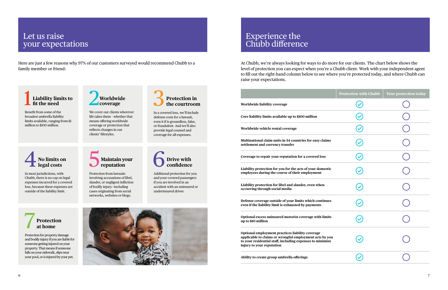### Let us raise your expectations

Here are just a few reasons why 97% of our customers surveyed would recommend Chubb to a family member or friend:

1 **Liability limits to fit the need**

Benefit from some of the broadest umbrella liability limits available, ranging from \$1 million to \$100 million.

## 4 **No limits on legal costs**

In most jurisdictions, with Chubb, there is no cap on legal expenses incurred for a covered loss, because these expenses are outside of the liability limit.



Protection for property damage and bodily injury if you are liable for someone getting injured on your property. That means if someone falls on your sidewalk, slips near your pool, or is injured by your pet.



#### 2**Worldwide coverage**

We cover our clients wherever life takes them – whether that means offering worldwide coverage or protection that reflects changes in our clients' lifestyles.

### 5 **Maintain your reputation**

Protection from lawsuits involving accusations of libel, slander, or negligent infliction of bodily injury—including cases originating from social networks, websites or blogs.



In a covered loss, we'll include defense costs for a lawsuit, even it if is groundless, false, or fraudulent. And we'll also provide legal counsel and coverage for all expenses.



Additional protection for you and your covered passengers if you are involved in an accident with an uninsured or underinsured driver.

### Experience the Chubb difference

At Chubb, we're always looking for ways to do more for our clients. The chart below shows the level of protection you can expect when you're a Chubb client. Work with your independent agent to fill out the right-hand column below to see where you're protected today, and where Chubb can raise your expectations.

|                         | <b>Protection with Chubb</b> | Your protection today |
|-------------------------|------------------------------|-----------------------|
|                         |                              |                       |
|                         | $\frac{1}{\sqrt{2}}$         |                       |
|                         |                              | P                     |
| s                       | $\overline{\bigcirc}$        |                       |
|                         | $\overline{\bigodot}$        |                       |
| $\overline{\mathbf{c}}$ | $\widetilde{Q}$              |                       |
|                         |                              |                       |
| 'S                      | $\widetilde{\mathcal{S}}$    |                       |
| ts                      |                              |                       |
| ou<br>e                 |                              |                       |
|                         |                              |                       |

**Worldwide liability coverage**

**Core liability limits available up to \$100 million**

**Worldwide vehicle rental coverage**

**Multinational claim units in 54 countries for easy claims settlement and currency transfer**

**Coverage to repair your reputation for a covered loss**

**Liability protection for you for the acts of your domestic employees during the course of their employment**

**Liability protection for libel and slander, even when occurring through social media**

**Defense coverage outside of your limits which continues even if the liability limit is exhausted by payments**

**Optional excess uninsured motorist coverage with limits up to \$10 million**

**Optional employment practices liability coverage**  applicable to claims or wrongful employment acts by you **to your residential staff, including expenses to minimize injury to your reputation**

**Ability to create group umbrella offerings**